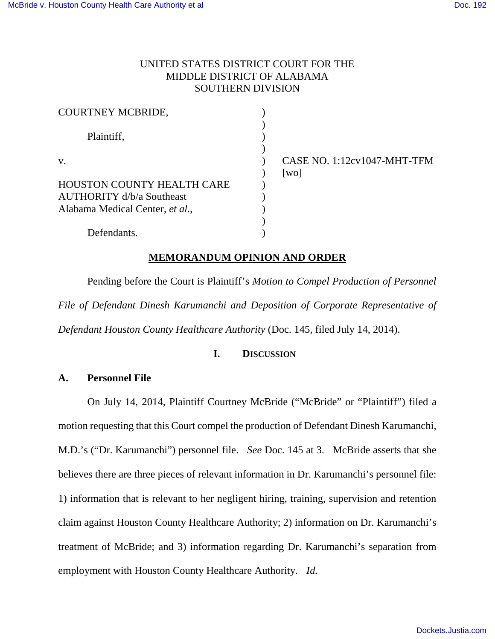### UNITED STATES DISTRICT COURT FOR THE MIDDLE DISTRICT OF ALABAMA SOUTHERN DIVISION

| <b>COURTNEY MCBRIDE,</b>         |                             |
|----------------------------------|-----------------------------|
| Plaintiff,                       |                             |
|                                  |                             |
|                                  |                             |
| V.                               | CASE NO. 1:12cv1047-MHT-TFM |
|                                  | $\lceil \text{wo} \rceil$   |
| HOUSTON COUNTY HEALTH CARE       |                             |
| <b>AUTHORITY</b> d/b/a Southeast |                             |
| Alabama Medical Center, et al.,  |                             |
|                                  |                             |
| Defendants.                      |                             |

### **MEMORANDUM OPINION AND ORDER**

Pending before the Court is Plaintiff's *Motion to Compel Production of Personnel File of Defendant Dinesh Karumanchi and Deposition of Corporate Representative of Defendant Houston County Healthcare Authority* (Doc. 145, filed July 14, 2014).

## **I. DISCUSSION**

### **A. Personnel File**

On July 14, 2014, Plaintiff Courtney McBride ("McBride" or "Plaintiff") filed a motion requesting that this Court compel the production of Defendant Dinesh Karumanchi, M.D.'s ("Dr. Karumanchi") personnel file. *See* Doc. 145 at 3. McBride asserts that she believes there are three pieces of relevant information in Dr. Karumanchi's personnel file: 1) information that is relevant to her negligent hiring, training, supervision and retention claim against Houston County Healthcare Authority; 2) information on Dr. Karumanchi's treatment of McBride; and 3) information regarding Dr. Karumanchi's separation from employment with Houston County Healthcare Authority. *Id.*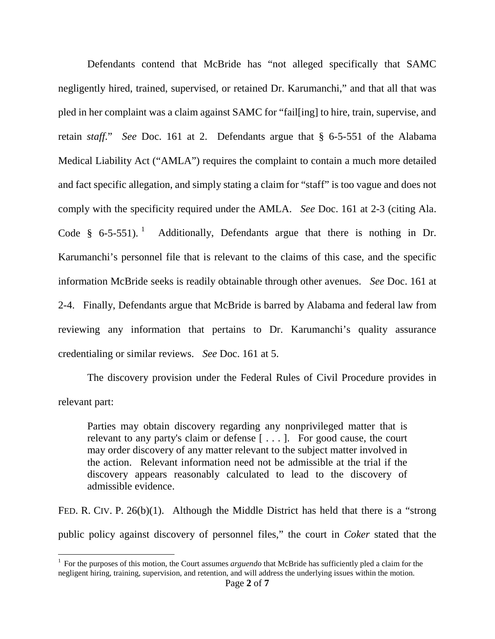Defendants contend that McBride has "not alleged specifically that SAMC negligently hired, trained, supervised, or retained Dr. Karumanchi," and that all that was pled in her complaint was a claim against SAMC for "fail[ing] to hire, train, supervise, and retain *staff*." *See* Doc. 161 at 2. Defendants argue that § 6-5-551 of the Alabama Medical Liability Act ("AMLA") requires the complaint to contain a much more detailed and fact specific allegation, and simply stating a claim for "staff" is too vague and does not comply with the specificity required under the AMLA. *See* Doc. 161 at 2-3 (citing Ala. Code § 6-5-55[1](#page-1-0)).<sup>1</sup> Additionally, Defendants argue that there is nothing in Dr. Karumanchi's personnel file that is relevant to the claims of this case, and the specific information McBride seeks is readily obtainable through other avenues. *See* Doc. 161 at 2-4. Finally, Defendants argue that McBride is barred by Alabama and federal law from reviewing any information that pertains to Dr. Karumanchi's quality assurance credentialing or similar reviews. *See* Doc. 161 at 5.

 The discovery provision under the Federal Rules of Civil Procedure provides in relevant part:

Parties may obtain discovery regarding any nonprivileged matter that is relevant to any party's claim or defense [ . . . ]. For good cause, the court may order discovery of any matter relevant to the subject matter involved in the action. Relevant information need not be admissible at the trial if the discovery appears reasonably calculated to lead to the discovery of admissible evidence.

FED. R. CIV. P. 26(b)(1). Although the Middle District has held that there is a "strong public policy against discovery of personnel files," the court in *Coker* stated that the

 $\overline{a}$ 

<span id="page-1-0"></span><sup>&</sup>lt;sup>1</sup> For the purposes of this motion, the Court assumes *arguendo* that McBride has sufficiently pled a claim for the negligent hiring, training, supervision, and retention, and will address the underlying issues within the motion.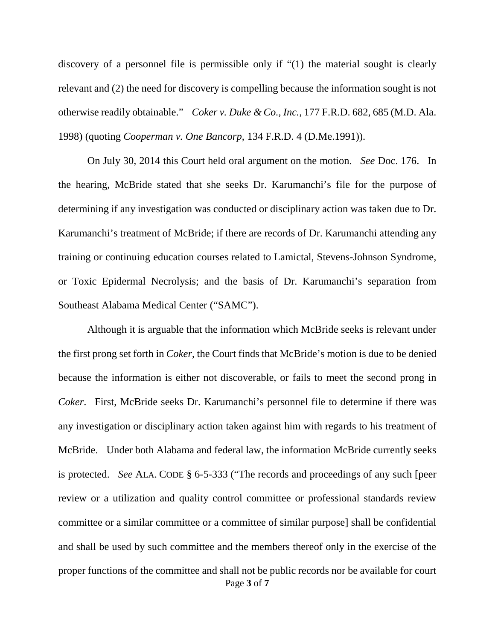discovery of a personnel file is permissible only if "(1) the material sought is clearly relevant and (2) the need for discovery is compelling because the information sought is not otherwise readily obtainable." *Coker v. Duke & Co., Inc.*, 177 F.R.D. 682, 685 (M.D. Ala. 1998) (quoting *Cooperman v. One Bancorp*, 134 F.R.D. 4 (D.Me.1991)).

On July 30, 2014 this Court held oral argument on the motion. *See* Doc. 176. In the hearing, McBride stated that she seeks Dr. Karumanchi's file for the purpose of determining if any investigation was conducted or disciplinary action was taken due to Dr. Karumanchi's treatment of McBride; if there are records of Dr. Karumanchi attending any training or continuing education courses related to Lamictal, Stevens-Johnson Syndrome, or Toxic Epidermal Necrolysis; and the basis of Dr. Karumanchi's separation from Southeast Alabama Medical Center ("SAMC").

Page **3** of **7** Although it is arguable that the information which McBride seeks is relevant under the first prong set forth in *Coker*, the Court finds that McBride's motion is due to be denied because the information is either not discoverable, or fails to meet the second prong in *Coker*. First, McBride seeks Dr. Karumanchi's personnel file to determine if there was any investigation or disciplinary action taken against him with regards to his treatment of McBride. Under both Alabama and federal law, the information McBride currently seeks is protected. *See* ALA. CODE § 6-5-333 ("The records and proceedings of any such [peer review or a utilization and quality control committee or professional standards review committee or a similar committee or a committee of similar purpose] shall be confidential and shall be used by such committee and the members thereof only in the exercise of the proper functions of the committee and shall not be public records nor be available for court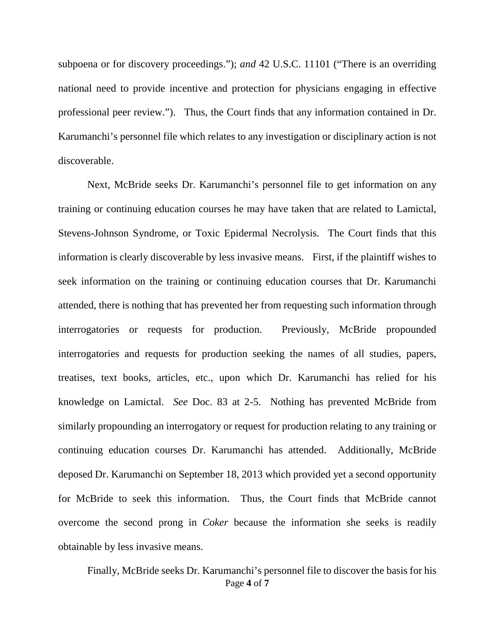subpoena or for discovery proceedings."); *and* 42 U.S.C. 11101 ("There is an overriding national need to provide incentive and protection for physicians engaging in effective professional peer review."). Thus, the Court finds that any information contained in Dr. Karumanchi's personnel file which relates to any investigation or disciplinary action is not discoverable.

 Next, McBride seeks Dr. Karumanchi's personnel file to get information on any training or continuing education courses he may have taken that are related to Lamictal, Stevens-Johnson Syndrome, or Toxic Epidermal Necrolysis. The Court finds that this information is clearly discoverable by less invasive means. First, if the plaintiff wishes to seek information on the training or continuing education courses that Dr. Karumanchi attended, there is nothing that has prevented her from requesting such information through interrogatories or requests for production. Previously, McBride propounded interrogatories and requests for production seeking the names of all studies, papers, treatises, text books, articles, etc., upon which Dr. Karumanchi has relied for his knowledge on Lamictal. *See* Doc. 83 at 2-5. Nothing has prevented McBride from similarly propounding an interrogatory or request for production relating to any training or continuing education courses Dr. Karumanchi has attended. Additionally, McBride deposed Dr. Karumanchi on September 18, 2013 which provided yet a second opportunity for McBride to seek this information. Thus, the Court finds that McBride cannot overcome the second prong in *Coker* because the information she seeks is readily obtainable by less invasive means.

Page **4** of **7** Finally, McBride seeks Dr. Karumanchi's personnel file to discover the basis for his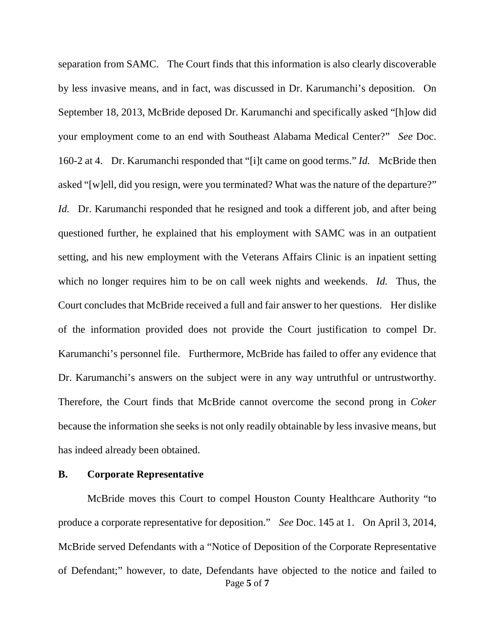separation from SAMC. The Court finds that this information is also clearly discoverable by less invasive means, and in fact, was discussed in Dr. Karumanchi's deposition. On September 18, 2013, McBride deposed Dr. Karumanchi and specifically asked "[h]ow did your employment come to an end with Southeast Alabama Medical Center?" *See* Doc. 160-2 at 4. Dr. Karumanchi responded that "[i]t came on good terms." *Id.* McBride then asked "[w]ell, did you resign, were you terminated? What was the nature of the departure?" *Id.* Dr. Karumanchi responded that he resigned and took a different job, and after being questioned further, he explained that his employment with SAMC was in an outpatient setting, and his new employment with the Veterans Affairs Clinic is an inpatient setting which no longer requires him to be on call week nights and weekends. *Id.* Thus, the Court concludes that McBride received a full and fair answer to her questions. Her dislike of the information provided does not provide the Court justification to compel Dr. Karumanchi's personnel file. Furthermore, McBride has failed to offer any evidence that Dr. Karumanchi's answers on the subject were in any way untruthful or untrustworthy. Therefore, the Court finds that McBride cannot overcome the second prong in *Coker* because the information she seeks is not only readily obtainable by less invasive means, but has indeed already been obtained.

#### **B. Corporate Representative**

Page **5** of **7** McBride moves this Court to compel Houston County Healthcare Authority "to produce a corporate representative for deposition." *See* Doc. 145 at 1. On April 3, 2014, McBride served Defendants with a "Notice of Deposition of the Corporate Representative of Defendant;" however, to date, Defendants have objected to the notice and failed to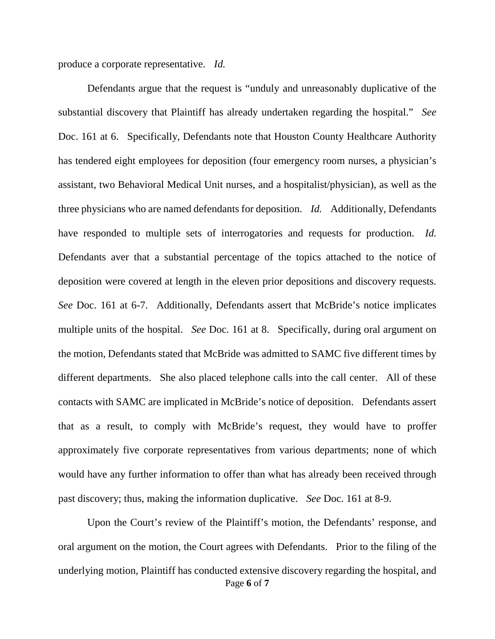produce a corporate representative. *Id.*

Defendants argue that the request is "unduly and unreasonably duplicative of the substantial discovery that Plaintiff has already undertaken regarding the hospital." *See* Doc. 161 at 6. Specifically, Defendants note that Houston County Healthcare Authority has tendered eight employees for deposition (four emergency room nurses, a physician's assistant, two Behavioral Medical Unit nurses, and a hospitalist/physician), as well as the three physicians who are named defendants for deposition. *Id.* Additionally, Defendants have responded to multiple sets of interrogatories and requests for production. *Id.* Defendants aver that a substantial percentage of the topics attached to the notice of deposition were covered at length in the eleven prior depositions and discovery requests. *See* Doc. 161 at 6-7. Additionally, Defendants assert that McBride's notice implicates multiple units of the hospital. *See* Doc. 161 at 8. Specifically, during oral argument on the motion, Defendants stated that McBride was admitted to SAMC five different times by different departments. She also placed telephone calls into the call center. All of these contacts with SAMC are implicated in McBride's notice of deposition. Defendants assert that as a result, to comply with McBride's request, they would have to proffer approximately five corporate representatives from various departments; none of which would have any further information to offer than what has already been received through past discovery; thus, making the information duplicative. *See* Doc. 161 at 8-9.

Page **6** of **7** Upon the Court's review of the Plaintiff's motion, the Defendants' response, and oral argument on the motion, the Court agrees with Defendants. Prior to the filing of the underlying motion, Plaintiff has conducted extensive discovery regarding the hospital, and